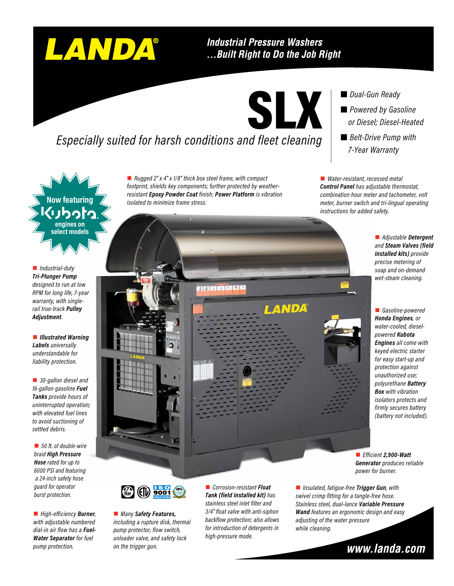# LANDA®

#### **Industrial Pressure Washers** ...Built Right to Do the Job Right

SLX

## *Especially suited for harsh conditions and fleet cleaning*

■ *Rugged 2" x 4" x 1/8" thick box steel frame, with compact footprint, shields key components; further protected by weatherresistant Epoxy Powder Coat finish; Power Platform is vibration isolated to minimize frame stress.*

**TRIME KIDE** 

 *Dual-Gun Ready Powered by Gasoline or Diesel; Diesel-Heated*

■ *Belt-Drive Pump with 7-Year Warranty*

■ *Water-resistant, recessed metal Control Panel has adjustable thermostat, combination hour meter and tachometer, volt meter, burner switch and tri-lingual operating instructions for added safety.*

> ■ *Adjustable* Detergent *and Steam Valves (field installed kits) provide precise metering of soap and on-demand wet-steam cleaning.*

**n** Gasoline-powered *Honda Engines, or water-cooled, dieselpowered Kubota Engines all come with keyed electric starter for easy start-up and protection against unauthorized use; polyurethane Battery Box with vibration isolators protects and firmly secures battery (battery not included).*

■ *Efficient* **2,900-Watt** *Generator produces reliable power for burner.*

**PUMP WARRANTY**

■ *Many Safety Features*, *including a rupture disk, thermal pump protector, flow switch, unloader valve, and safety lock on the trigger gun.* 

■ *Corrosion-resistant Float Tank (field installed kit) has stainless steel inlet filter and 3/4" float valve with anti-siphon backflow protection; also allows for introduction of detergents in high-pressure mode.*

■ *Insulated, fatigue-free Trigger Gun, with swivel crimp fitting for a tangle-free hose. Stainless steel, dual-lance Variable Pressure Wand features an ergonomic design and easy adjusting of the water pressure while cleaning.*

LANDA



**Now featuring engines on select models**

n *Industrial-duty Tri-Plunger Pump designed to run at low RPM for long life, 7-year warranty, with singlerail true-track Pulley Adjustment.*

**n** *Illustrated Warning Labels universally understandable for liability protection.*

■ 30-gallon diesel and *16-gallon gasoline Fuel Tanks provide hours of uninterrupted operation; with elevated fuel lines to avoid suctioning of settled debris.*

■ 50 ft. of double-wire *braid High Pressure Hose rated for up to 6000 PSI and featuring a 24-inch safety hose guard for operator burst protection.*

■ *High-efficiency* **Burner**, *with adjustable numbered dial-in air flow has a Fuel-Water Separator for fuel pump protection.*